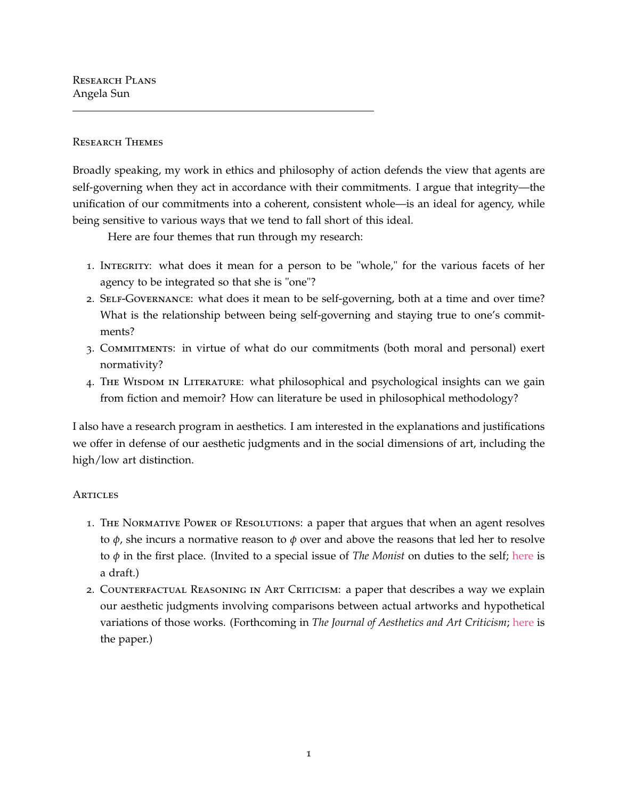Research Plans Angela Sun

## Research Themes

Broadly speaking, my work in ethics and philosophy of action defends the view that agents are self-governing when they act in accordance with their commitments. I argue that integrity—the unification of our commitments into a coherent, consistent whole—is an ideal for agency, while being sensitive to various ways that we tend to fall short of this ideal.

Here are four themes that run through my research:

- 1. INTEGRITY: what does it mean for a person to be "whole," for the various facets of her agency to be integrated so that she is "one"?
- 2. SELF-GOVERNANCE: what does it mean to be self-governing, both at a time and over time? What is the relationship between being self-governing and staying true to one's commitments?
- 3. Commitments: in virtue of what do our commitments (both moral and personal) exert normativity?
- 4. THE WISDOM IN LITERATURE: what philosophical and psychological insights can we gain from fiction and memoir? How can literature be used in philosophical methodology?

I also have a research program in aesthetics. I am interested in the explanations and justifications we offer in defense of our aesthetic judgments and in the social dimensions of art, including the high/low art distinction.

## **ARTICLES**

- 1. The Normative Power of Resolutions: a paper that argues that when an agent resolves to *ϕ*, she incurs a normative reason to *ϕ* over and above the reasons that led her to resolve to *ϕ* in the first place. (Invited to a special issue of *The Monist* on duties to the self; [here](http://www.angelasun.info/uploads/1/2/3/7/123737150/sun_-_resolutions.pdf) is a draft.)
- 2. Counterfactual Reasoning in Art Criticism: a paper that describes a way we explain our aesthetic judgments involving comparisons between actual artworks and hypothetical variations of those works. (Forthcoming in *The Journal of Aesthetics and Art Criticism*; [here](http://www.angelasun.info/uploads/1/2/3/7/123737150/sun_-_counterfactual_reasoning_in_art_criticism.pdf) is the paper.)